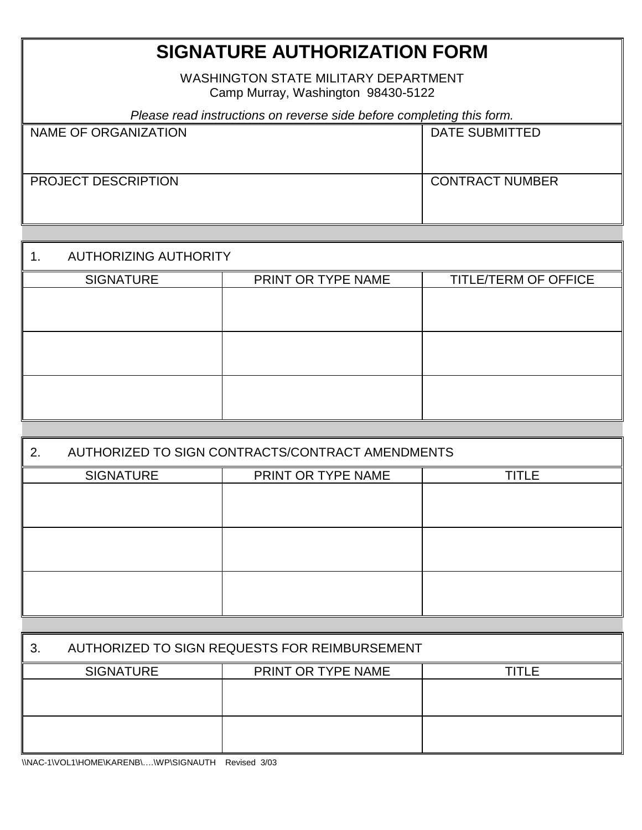## **SIGNATURE AUTHORIZATION FORM**

WASHINGTON STATE MILITARY DEPARTMENT Camp Murray, Washington 98430-5122

| Please read instructions on reverse side before completing this form. |                        |  |
|-----------------------------------------------------------------------|------------------------|--|
| NAME OF ORGANIZATION                                                  | <b>DATE SUBMITTED</b>  |  |
| <b>PROJECT DESCRIPTION</b>                                            | <b>CONTRACT NUMBER</b> |  |

| <b>AUTHORIZING AUTHORITY</b> |                    |                             |
|------------------------------|--------------------|-----------------------------|
| <b>SIGNATURE</b>             | PRINT OR TYPE NAME | <b>TITLE/TERM OF OFFICE</b> |
|                              |                    |                             |
|                              |                    |                             |
|                              |                    |                             |
|                              |                    |                             |
|                              |                    |                             |
|                              |                    |                             |
|                              |                    |                             |

| 2. | AUTHORIZED TO SIGN CONTRACTS/CONTRACT AMENDMENTS |                    |              |  |  |
|----|--------------------------------------------------|--------------------|--------------|--|--|
|    | <b>SIGNATURE</b>                                 | PRINT OR TYPE NAME | <b>TITLE</b> |  |  |
|    |                                                  |                    |              |  |  |
|    |                                                  |                    |              |  |  |
|    |                                                  |                    |              |  |  |
|    |                                                  |                    |              |  |  |
|    |                                                  |                    |              |  |  |
|    |                                                  |                    |              |  |  |
|    |                                                  |                    |              |  |  |
| 3. | AUTHORIZED TO SIGN REQUESTS FOR REIMBURSEMENT    |                    |              |  |  |
|    | <b>SIGNATURE</b>                                 | PRINT OR TYPE NAME | <b>TITLE</b> |  |  |
|    |                                                  |                    |              |  |  |